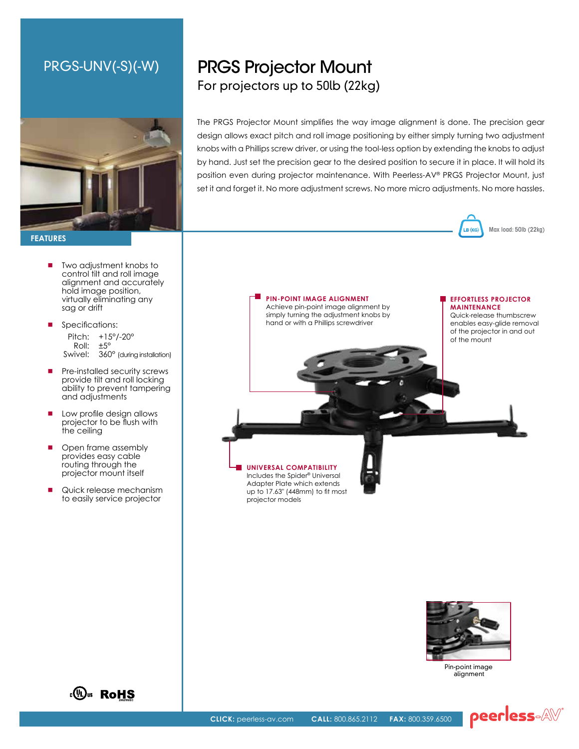### PRGS-UNV(-S)(-W)



**FeatureS**

- Two adjustment knobs to control tilt and roll image alignment and accurately hold image position, virtually eliminating any sag or drift
- Specifications: Pitch: +15°/-20° Roll: ±5° Swivel: 360° (during installation)
- **Pre-installed security screws** provide tilt and roll locking ability to prevent tampering and adjustments
- **Low profile design allows** projector to be flush with the ceiling
- Open frame assembly provides easy cable routing through the projector mount itself
- Quick release mechanism to easily service projector

# PRGS Projector Mount For projectors up to 50lb (22kg)

The PRGS Projector Mount simplifies the way image alignment is done. The precision gear design allows exact pitch and roll image positioning by either simply turning two adjustment knobs with a Phillips screw driver, or using the tool-less option by extending the knobs to adjust by hand. Just set the precision gear to the desired position to secure it in place. It will hold its position even during projector maintenance. With Peerless-AV® PRGS Projector Mount, just set it and forget it. No more adjustment screws. No more micro adjustments. No more hassles.







Pin-point image alignment